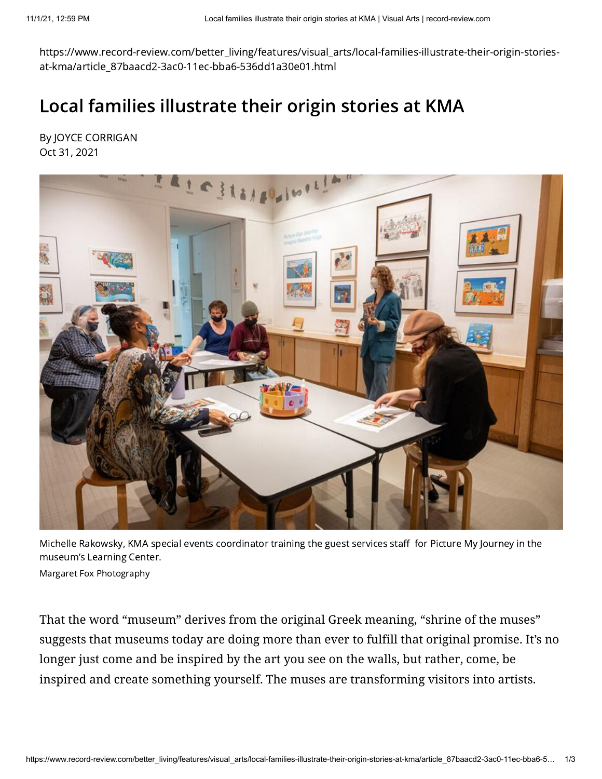https://www.record-review.com/better\_living/features/visual\_arts/local-families-illustrate-their-origin-storiesat-kma/article\_87baacd2-3ac0-11ec-bba6-536dd1a30e01.html

## Local families illustrate their origin stories at KMA

By JOYCE CORRIGAN Oct 31, 2021



Michelle Rakowsky, KMA special events coordinator training the guest services staff for Picture My Journey in the museum's Learning Center.

Margaret Fox Photography

That the word "museum" derives from the original Greek meaning, "shrine of the muses" suggests that museums today are doing more than ever to fulfill that original promise. It's no longer just come and be inspired by the art you see on the walls, but rather, come, be inspired and create something yourself. The muses are transforming visitors into artists.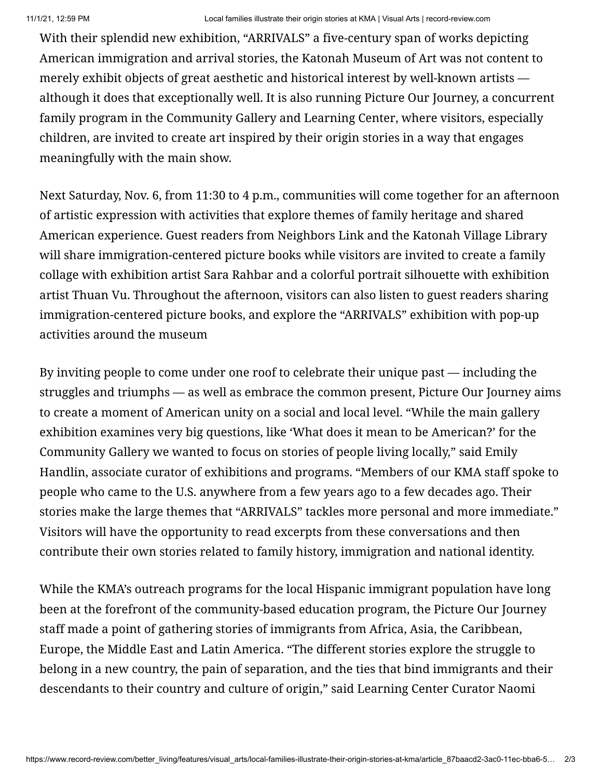With their splendid new exhibition, "ARRIVALS" a five-century span of works depicting American immigration and arrival stories, the Katonah Museum of Art was not content to merely exhibit objects of great aesthetic and historical interest by well-known artists although it does that exceptionally well. It is also running Picture Our Journey, a concurrent family program in the Community Gallery and Learning Center, where visitors, especially children, are invited to create art inspired by their origin stories in a way that engages meaningfully with the main show.

Next Saturday, Nov. 6, from 11:30 to 4 p.m., communities will come together for an afternoon of artistic expression with activities that explore themes of family heritage and shared American experience. Guest readers from Neighbors Link and the Katonah Village Library will share immigration-centered picture books while visitors are invited to create a family collage with exhibition artist Sara Rahbar and a colorful portrait silhouette with exhibition artist Thuan Vu. Throughout the afternoon, visitors can also listen to guest readers sharing immigration-centered picture books, and explore the "ARRIVALS" exhibition with pop-up activities around the museum

By inviting people to come under one roof to celebrate their unique past — including the struggles and triumphs — as well as embrace the common present, Picture Our Journey aims to create a moment of American unity on a social and local level. "While the main gallery exhibition examines very big questions, like 'What does it mean to be American?' for the Community Gallery we wanted to focus on stories of people living locally," said Emily Handlin, associate curator of exhibitions and programs. "Members of our KMA staff spoke to people who came to the U.S. anywhere from a few years ago to a few decades ago. Their stories make the large themes that "ARRIVALS" tackles more personal and more immediate." Visitors will have the opportunity to read excerpts from these conversations and then contribute their own stories related to family history, immigration and national identity.

While the KMA's outreach programs for the local Hispanic immigrant population have long been at the forefront of the community-based education program, the Picture Our Journey staff made a point of gathering stories of immigrants from Africa, Asia, the Caribbean, Europe, the Middle East and Latin America. "The different stories explore the struggle to belong in a new country, the pain of separation, and the ties that bind immigrants and their descendants to their country and culture of origin," said Learning Center Curator Naomi